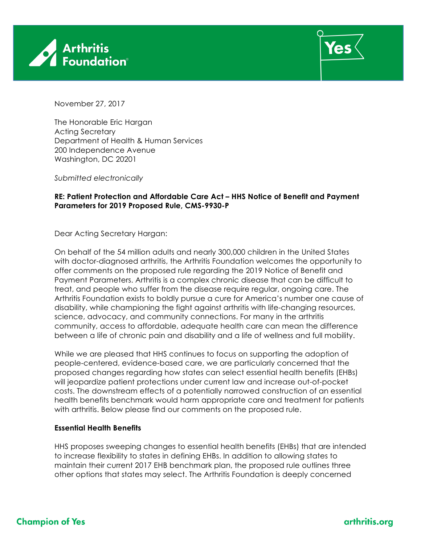



November 27, 2017

The Honorable Eric Hargan Acting Secretary Department of Health & Human Services 200 Independence Avenue Washington, DC 20201

*Submitted electronically*

# **RE: Patient Protection and Affordable Care Act – HHS Notice of Benefit and Payment Parameters for 2019 Proposed Rule, CMS-9930-P**

Dear Acting Secretary Hargan:

On behalf of the 54 million adults and nearly 300,000 children in the United States with doctor-diagnosed arthritis, the Arthritis Foundation welcomes the opportunity to offer comments on the proposed rule regarding the 2019 Notice of Benefit and Payment Parameters. Arthritis is a complex chronic disease that can be difficult to treat, and people who suffer from the disease require regular, ongoing care. The Arthritis Foundation exists to boldly pursue a cure for America's number one cause of disability, while championing the fight against arthritis with life-changing resources, science, advocacy, and community connections. For many in the arthritis community, access to affordable, adequate health care can mean the difference between a life of chronic pain and disability and a life of wellness and full mobility.

While we are pleased that HHS continues to focus on supporting the adoption of people-centered, evidence-based care, we are particularly concerned that the proposed changes regarding how states can select essential health benefits (EHBs) will jeopardize patient protections under current law and increase out-of-pocket costs. The downstream effects of a potentially narrowed construction of an essential health benefits benchmark would harm appropriate care and treatment for patients with arthritis. Below please find our comments on the proposed rule.

# **Essential Health Benefits**

HHS proposes sweeping changes to essential health benefits (EHBs) that are intended to increase flexibility to states in defining EHBs. In addition to allowing states to maintain their current 2017 EHB benchmark plan, the proposed rule outlines three other options that states may select. The Arthritis Foundation is deeply concerned

# arthritis.org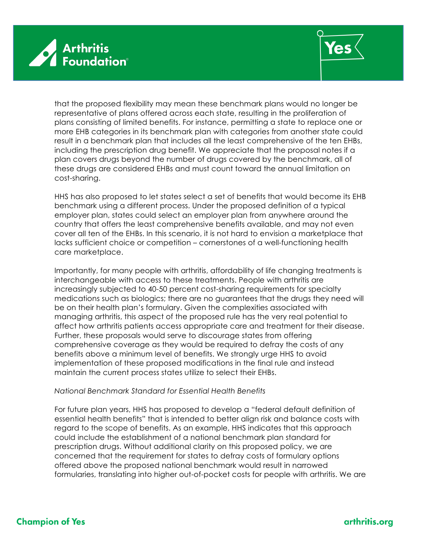



that the proposed flexibility may mean these benchmark plans would no longer be representative of plans offered across each state, resulting in the proliferation of plans consisting of limited benefits. For instance, permitting a state to replace one or more EHB categories in its benchmark plan with categories from another state could result in a benchmark plan that includes all the least comprehensive of the ten EHBs, including the prescription drug benefit. We appreciate that the proposal notes if a plan covers drugs beyond the number of drugs covered by the benchmark, all of these drugs are considered EHBs and must count toward the annual limitation on cost-sharing.

HHS has also proposed to let states select a set of benefits that would become its EHB benchmark using a different process. Under the proposed definition of a typical employer plan, states could select an employer plan from anywhere around the country that offers the least comprehensive benefits available, and may not even cover all ten of the EHBs. In this scenario, it is not hard to envision a marketplace that lacks sufficient choice or competition – cornerstones of a well-functioning health care marketplace.

Importantly, for many people with arthritis, affordability of life changing treatments is interchangeable with access to these treatments. People with arthritis are increasingly subjected to 40-50 percent cost-sharing requirements for specialty medications such as biologics; there are no guarantees that the drugs they need will be on their health plan's formulary. Given the complexities associated with managing arthritis, this aspect of the proposed rule has the very real potential to affect how arthritis patients access appropriate care and treatment for their disease. Further, these proposals would serve to discourage states from offering comprehensive coverage as they would be required to defray the costs of any benefits above a minimum level of benefits. We strongly urge HHS to avoid implementation of these proposed modifications in the final rule and instead maintain the current process states utilize to select their EHBs.

#### *National Benchmark Standard for Essential Health Benefits*

For future plan years, HHS has proposed to develop a "federal default definition of essential health benefits" that is intended to better align risk and balance costs with regard to the scope of benefits. As an example, HHS indicates that this approach could include the establishment of a national benchmark plan standard for prescription drugs. Without additional clarity on this proposed policy, we are concerned that the requirement for states to defray costs of formulary options offered above the proposed national benchmark would result in narrowed formularies, translating into higher out-of-pocket costs for people with arthritis. We are

# **Champion of Yes**

# arthritis.org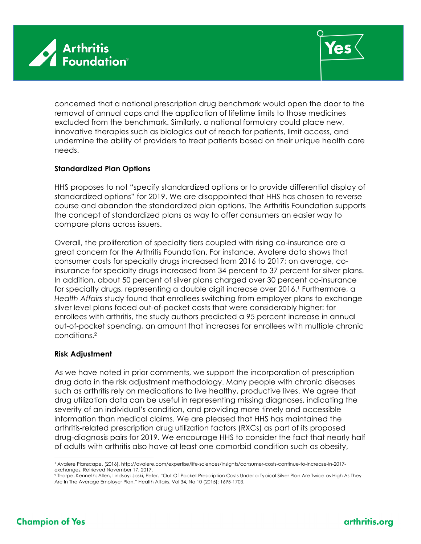



concerned that a national prescription drug benchmark would open the door to the removal of annual caps and the application of lifetime limits to those medicines excluded from the benchmark. Similarly, a national formulary could place new, innovative therapies such as biologics out of reach for patients, limit access, and undermine the ability of providers to treat patients based on their unique health care needs.

# **Standardized Plan Options**

HHS proposes to not "specify standardized options or to provide differential display of standardized options" for 2019. We are disappointed that HHS has chosen to reverse course and abandon the standardized plan options. The Arthritis Foundation supports the concept of standardized plans as way to offer consumers an easier way to compare plans across issuers.

Overall, the proliferation of specialty tiers coupled with rising co-insurance are a great concern for the Arthritis Foundation. For instance, Avalere data shows that consumer costs for specialty drugs increased from 2016 to 2017; on average, coinsurance for specialty drugs increased from 34 percent to 37 percent for silver plans. In addition, about 50 percent of silver plans charged over 30 percent co-insurance for specialty drugs, representing a double digit increase over 2016.<sup>1</sup> Furthermore, a *Health Affairs* study found that enrollees switching from employer plans to exchange silver level plans faced out-of-pocket costs that were considerably higher: for enrollees with arthritis, the study authors predicted a 95 percent increase in annual out-of-pocket spending, an amount that increases for enrollees with multiple chronic conditions.2

# **Risk Adjustment**

As we have noted in prior comments, we support the incorporation of prescription drug data in the risk adjustment methodology. Many people with chronic diseases such as arthritis rely on medications to live healthy, productive lives. We agree that drug utilization data can be useful in representing missing diagnoses, indicating the severity of an individual's condition, and providing more timely and accessible information than medical claims. We are pleased that HHS has maintained the arthritis-related prescription drug utilization factors (RXCs) as part of its proposed drug-diagnosis pairs for 2019. We encourage HHS to consider the fact that nearly half of adults with arthritis also have at least one comorbid condition such as obesity,

 $\overline{a}$ 

# arthritis.org

<sup>1</sup> Avalere Planscape. (2016). http://avalere.com/expertise/life-sciences/insights/consumer-costs-continue-to-increase-in-2017 exchanges. Retrieved November 17, 2017.

<sup>2</sup> Thorpe, Kenneth; Allen, Lindsay; Joski, Peter. "Out-Of-Pocket Prescription Costs Under a Typical Silver Plan Are Twice as High As They Are In The Average Employer Plan." Health Affairs. Vol 34, No 10 (2015): 1695-1703.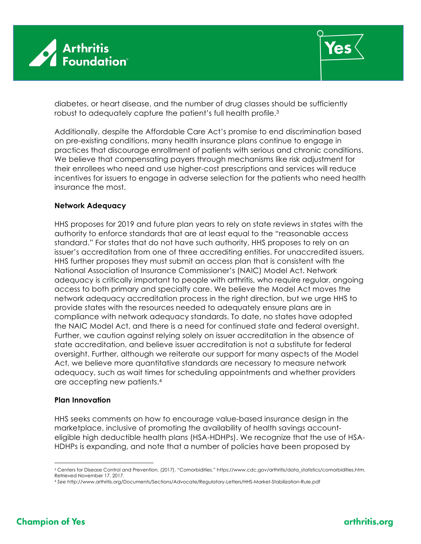



diabetes, or heart disease, and the number of drug classes should be sufficiently robust to adequately capture the patient's full health profile. 3

Additionally, despite the Affordable Care Act's promise to end discrimination based on pre-existing conditions, many health insurance plans continue to engage in practices that discourage enrollment of patients with serious and chronic conditions. We believe that compensating payers through mechanisms like risk adjustment for their enrollees who need and use higher-cost prescriptions and services will reduce incentives for issuers to engage in adverse selection for the patients who need health insurance the most.

# **Network Adequacy**

HHS proposes for 2019 and future plan years to rely on state reviews in states with the authority to enforce standards that are at least equal to the "reasonable access standard." For states that do not have such authority, HHS proposes to rely on an issuer's accreditation from one of three accrediting entities. For unaccredited issuers, HHS further proposes they must submit an access plan that is consistent with the National Association of Insurance Commissioner's (NAIC) Model Act. Network adequacy is critically important to people with arthritis, who require regular, ongoing access to both primary and specialty care. We believe the Model Act moves the network adequacy accreditation process in the right direction, but we urge HHS to provide states with the resources needed to adequately ensure plans are in compliance with network adequacy standards. To date, no states have adopted the NAIC Model Act, and there is a need for continued state and federal oversight. Further, we caution against relying solely on issuer accreditation in the absence of state accreditation, and believe issuer accreditation is not a substitute for federal oversight. Further, although we reiterate our support for many aspects of the Model Act, we believe more quantitative standards are necessary to measure network adequacy, such as wait times for scheduling appointments and whether providers are accepting new patients. 4

# **Plan Innovation**

HHS seeks comments on how to encourage value-based insurance design in the marketplace, inclusive of promoting the availability of health savings accounteligible high deductible health plans (HSA-HDHPs). We recognize that the use of HSA-HDHPs is expanding, and note that a number of policies have been proposed by

 $\overline{a}$ 

<sup>3</sup> Centers for Disease Control and Prevention. (2017). "Comorbidities." https://www.cdc.gov/arthritis/data\_statistics/comorbidities.htm. Retrieved November 17, 2017.

<sup>4</sup> *See* http://www.arthritis.org/Documents/Sections/Advocate/Regulatory-Letters/HHS-Market-Stabilization-Rule.pdf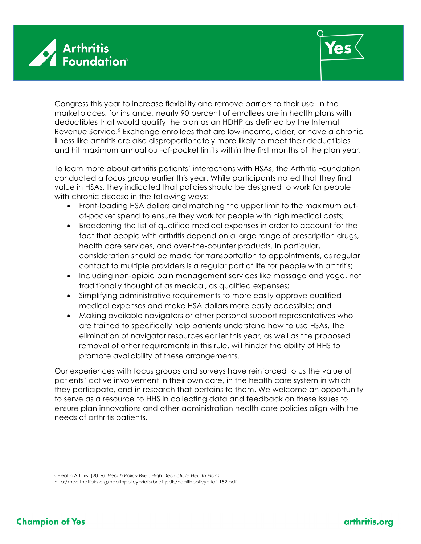



Congress this year to increase flexibility and remove barriers to their use. In the marketplaces, for instance, nearly 90 percent of enrollees are in health plans with deductibles that would qualify the plan as an HDHP as defined by the Internal Revenue Service.5 Exchange enrollees that are low-income, older, or have a chronic illness like arthritis are also disproportionately more likely to meet their deductibles and hit maximum annual out-of-pocket limits within the first months of the plan year.

To learn more about arthritis patients' interactions with HSAs, the Arthritis Foundation conducted a focus group earlier this year. While participants noted that they find value in HSAs, they indicated that policies should be designed to work for people with chronic disease in the following ways:

- Front-loading HSA dollars and matching the upper limit to the maximum outof-pocket spend to ensure they work for people with high medical costs;
- Broadening the list of qualified medical expenses in order to account for the fact that people with arthritis depend on a large range of prescription drugs, health care services, and over-the-counter products. In particular, consideration should be made for transportation to appointments, as regular contact to multiple providers is a regular part of life for people with arthritis;
- Including non-opioid pain management services like massage and yoga, not traditionally thought of as medical, as qualified expenses;
- Simplifying administrative requirements to more easily approve qualified medical expenses and make HSA dollars more easily accessible; and
- Making available navigators or other personal support representatives who are trained to specifically help patients understand how to use HSAs. The elimination of navigator resources earlier this year, as well as the proposed removal of other requirements in this rule, will hinder the ability of HHS to promote availability of these arrangements.

Our experiences with focus groups and surveys have reinforced to us the value of patients' active involvement in their own care, in the health care system in which they participate, and in research that pertains to them. We welcome an opportunity to serve as a resource to HHS in collecting data and feedback on these issues to ensure plan innovations and other administration health care policies align with the needs of arthritis patients.

 $\overline{a}$ <sup>5</sup> Health Affairs. (2016). *Health Policy Brief: High-Deductible Health Plans*.

http://healthaffairs.org/healthpolicybriefs/brief\_pdfs/healthpolicybrief\_152.pdf